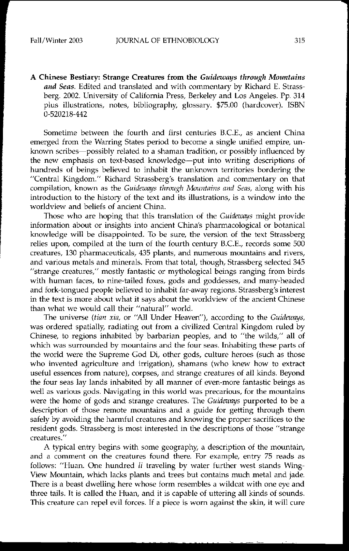A Chinese Bestiary: Strange Creatures from the *Guideways through Mouutains and Seas.* Edited and translated and with commentary by Richard E. Strassberg. 2002. University of California Press, Berkeley and Los Angeles. Pp. 314 plus illustrations, notes, bibliography, glossary. \$75.00 (hardcover). ISBN 0-520218-442

Sometime between the fourth and first centuries B.C.E., as ancient China emerged from the Warring States period to become a single unified empire, unknown scribes-possibly related to a shaman tradition, or possibly influenced by the new emphasis on text-based knowledge-put into writing descriptions of hundreds of beings believed to inhabit the unknown territories bordering the "Central Kingdom." Richard Strassberg's translation and commentary on that compilation, known as the *Guideways through Mauntains and Seas,* along with his introduction to the history of the text and its illustrations, is a window into the **worldview and beliefs of ancient China.**

Those who are hoping that this translation of the *Guideways* might provide information about or insights into ancient China's pharmacological or botanical knowledge will be disappointed. To be sure, the version of the text Strassberg relies upon, compiled at the tum of the fourth century B.C.E., records some 500 **creatures, 130 pharmaceuticals, 435 plants, and numerous mountains and rivers,** and various metals and minerals. From that total, though, Strassberg selected 345 "strange creatures," mostly fantastic or mythological beings ranging from birds with human faces, to nine-tailed foxes, gods and goddesses, and many-headed and fork-tongued people believed to inhabit far-away regions. Strassberg's interest in the text is more about what it says about the worldview of the ancient Chinese than what we would call their "natural" world.

The universe *(tian xia,* or "All Under Heaven"), according to the *Guideways,* was ordered spatially, radiating out from a civilized Central Kingdom ruled by Chinese, to regions inhabited by barbarian peoples, and to "the wilds," all of which was surrounded by mountains and the four seas. Inhabiting these parts of the world were the Supreme God Di, other gods, culture heroes (such as those who invented agriculture and irrigation), shamans (who knew how to extract useful essences from nature), corpses, and strange creatures of all kinds. Beyond the four seas lay lands inhabited by all manner of even-more fantastic beings as **well as various gods. Navigating in this world was precarious, for the mountains** were the home of gods and strange creatures. The *Guideways* purported to be a description of those remote mountains and a guide for getting through them safely by avoiding the harmful creatures and knowing the proper sacrifices to the resident gods. Strassberg is most interested in the descriptions of those "strange **creatures."**

A typical entry begins with some geography, a description of the mountain, and a comment on the creatures found there. For example, entry 75 reads as follows: "Huan. One hundred li traveling by water further west stands Wing-View Mountain, which lacks plants and trees but contains much metal and jade. There is a beast dwelling here whose form resembles a wildcat with one eye and three tails. It is called the Huan, and it is capable of uttering all kinds of sounds. This creature can repel evil forces. If a piece is worn against the skin, it will cure